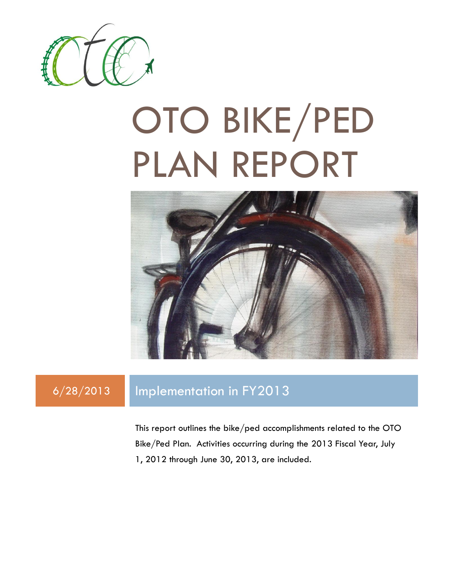

# OTO BIKE/PED PLAN REPORT



### 6/28/2013 Implementation in FY2013

This report outlines the bike/ped accomplishments related to the OTO Bike/Ped Plan. Activities occurring during the 2013 Fiscal Year, July 1, 2012 through June 30, 2013, are included.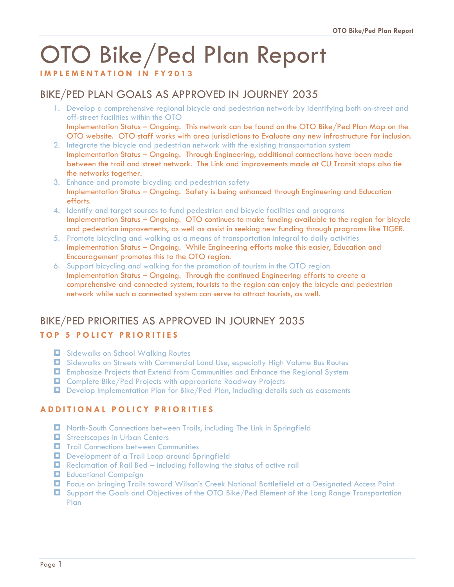## OTO Bike/Ped Plan Report

**I M P L E M E N T A T I O N I N F Y 2013**

#### BIKE/PED PLAN GOALS AS APPROVED IN JOURNEY 2035

- 1. Develop a comprehensive regional bicycle and pedestrian network by identifying both on-street and off-street facilities within the OTO Implementation Status – Ongoing. This network can be found on the OTO Bike/Ped Plan Map on the OTO website. OTO staff works with area jurisdictions to Evaluate any new infrastructure for inclusion.
- 2. Integrate the bicycle and pedestrian network with the existing transportation system Implementation Status – Ongoing. Through Engineering, additional connections have been made between the trail and street network. The Link and improvements made at CU Transit stops also tie the networks together.
- 3. Enhance and promote bicycling and pedestrian safety Implementation Status – Ongoing. Safety is being enhanced through Engineering and Education efforts.
- 4. Identify and target sources to fund pedestrian and bicycle facilities and programs Implementation Status – Ongoing. OTO continues to make funding available to the region for bicycle and pedestrian improvements, as well as assist in seeking new funding through programs like TIGER.
- 5. Promote bicycling and walking as a means of transportation integral to daily activities Implementation Status – Ongoing. While Engineering efforts make this easier, Education and Encouragement promotes this to the OTO region.
- 6. Support bicycling and walking for the promotion of tourism in the OTO region Implementation Status – Ongoing. Through the continued Engineering efforts to create a comprehensive and connected system, tourists to the region can enjoy the bicycle and pedestrian network while such a connected system can serve to attract tourists, as well.

## BIKE/PED PRIORITIES AS APPROVED IN JOURNEY 2035

#### **T O P 5 P O L I C Y P R I O R I T I E S**

- $\Box$  Sidewalks on School Walking Routes
- Sidewalks on Streets with Commercial Land Use, especially High Volume Bus Routes
- Emphasize Projects that Extend from Communities and Enhance the Regional System
- Complete Bike/Ped Projects with appropriate Roadway Projects
- Develop Implementation Plan for Bike/Ped Plan, including details such as easements

#### **A D D I T I O N A L P O L I C Y P R I O R I T I E S**

- **H** North-South Connections between Trails, including The Link in Springfield
- $\Box$  Streetscapes in Urban Centers
- $\blacksquare$  Trail Connections between Communities
- Development of a Trail Loop around Springfield
- $\Box$  Reclamation of Rail Bed including following the status of active rail
- **Educational Campaign**
- Focus on bringing Trails toward Wilson's Creek National Battlefield at a Designated Access Point
- $\Box$  Support the Goals and Objectives of the OTO Bike/Ped Element of the Long Range Transportation Plan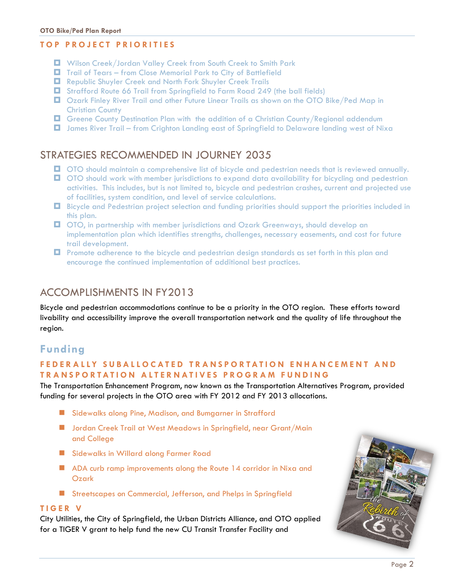#### **T O P P R O J E C T P R I O R I T I E S**

- Wilson Creek/Jordan Valley Creek from South Creek to Smith Park
- Trail of Tears from Close Memorial Park to City of Battlefield
- Republic Shuyler Creek and North Fork Shuyler Creek Trails
- Strafford Route 66 Trail from Springfield to Farm Road 249 (the ball fields)
- Ozark Finley River Trail and other Future Linear Trails as shown on the OTO Bike/Ped Map in Christian County
- **D** Greene County Destination Plan with the addition of a Christian County/Regional addendum
- James River Trail from Crighton Landing east of Springfield to Delaware landing west of Nixa

#### STRATEGIES RECOMMENDED IN JOURNEY 2035

- **OTO** should maintain a comprehensive list of bicycle and pedestrian needs that is reviewed annually.
- **OTO** should work with member jurisdictions to expand data availability for bicycling and pedestrian activities. This includes, but is not limited to, bicycle and pedestrian crashes, current and projected use of facilities, system condition, and level of service calculations.
- Bicycle and Pedestrian project selection and funding priorities should support the priorities included in this plan.
- OTO, in partnership with member jurisdictions and Ozark Greenways, should develop an implementation plan which identifies strengths, challenges, necessary easements, and cost for future trail development.
- **D** Promote adherence to the bicycle and pedestrian design standards as set forth in this plan and encourage the continued implementation of additional best practices.

#### ACCOMPLISHMENTS IN FY2013

Bicycle and pedestrian accommodations continue to be a priority in the OTO region. These efforts toward livability and accessibility improve the overall transportation network and the quality of life throughout the region.

#### **Funding**

#### **F E D E R A L L Y S U B A L L O C A T E D T R A N S P O R T A T I O N E N H A N C E M E N T A N D T R A N S P O R T A T I O N A L T E R N A T I V E S P R O G R A M F U N D I N G**

The Transportation Enhancement Program, now known as the Transportation Alternatives Program, provided funding for several projects in the OTO area with FY 2012 and FY 2013 allocations.

- **Sidewalks along Pine, Madison, and Bumgarner in Strafford**
- **Jordan Creek Trail at West Meadows in Springfield, near Grant/Main** and College
- **Sidewalks in Willard along Farmer Road**
- ADA curb ramp improvements along the Route 14 corridor in Nixa and Ozark
- Streetscapes on Commercial, Jefferson, and Phelps in Springfield

#### **T I G E R V**

City Utilities, the City of Springfield, the Urban Districts Alliance, and OTO applied for a TIGER V grant to help fund the new CU Transit Transfer Facility and

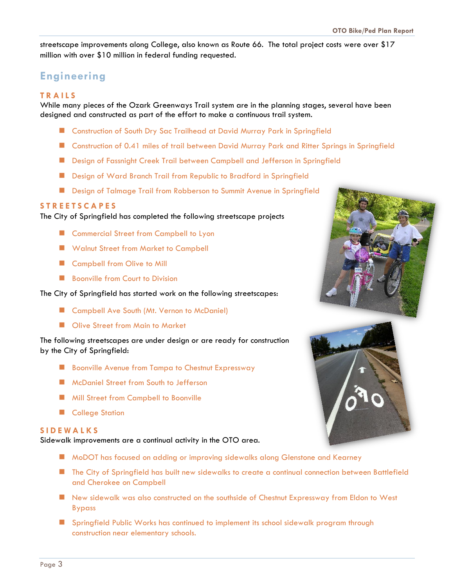streetscape improvements along College, also known as Route 66. The total project costs were over \$17 million with over \$10 million in federal funding requested.

#### **Engineering**

#### **T R A I L S**

While many pieces of the Ozark Greenways Trail system are in the planning stages, several have been designed and constructed as part of the effort to make a continuous trail system.

- Construction of South Dry Sac Trailhead at David Murray Park in Springfield
- **E** Construction of 0.41 miles of trail between David Murray Park and Ritter Springs in Springfield
- **Design of Fassnight Creek Trail between Campbell and Jefferson in Springfield**
- Design of Ward Branch Trail from Republic to Bradford in Springfield
- **Design of Talmage Trail from Robberson to Summit Avenue in Springfield**

#### **S T R E E T S C A P E S**

#### The City of Springfield has completed the following streetscape projects

- **E** Commercial Street from Campbell to Lyon
- Walnut Street from Market to Campbell
- Campbell from Olive to Mill
- **Boonville from Court to Division**

#### The City of Springfield has started work on the following streetscapes:

- Campbell Ave South (Mt. Vernon to McDaniel)
- **No Olive Street from Main to Market**

The following streetscapes are under design or are ready for construction by the City of Springfield:

- **B** Boonville Avenue from Tampa to Chestnut Expressway
- **McDaniel Street from South to Jefferson**
- **Mill Street from Campbell to Boonville**
- **College Station**

#### **S I D E W A L K S**

Sidewalk improvements are a continual activity in the OTO area.

- MoDOT has focused on adding or improving sidewalks along Glenstone and Kearney
- **The City of Springfield has built new sidewalks to create a continual connection between Battlefield** and Cherokee on Campbell
- New sidewalk was also constructed on the southside of Chestnut Expressway from Eldon to West Bypass
- **Springfield Public Works has continued to implement its school sidewalk program through** construction near elementary schools.



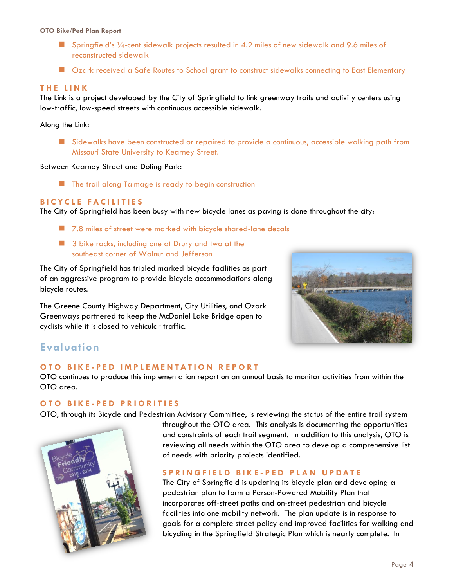- Springfield's 1/4-cent sidewalk projects resulted in 4.2 miles of new sidewalk and 9.6 miles of reconstructed sidewalk
- **Deark received a Safe Routes to School grant to construct sidewalks connecting to East Elementary**

#### **T H E L I N K**

The Link is a project developed by the City of Springfield to link greenway trails and activity centers using low-traffic, low-speed streets with continuous accessible sidewalk.

Along the Link:

**E** Sidewalks have been constructed or repaired to provide a continuous, accessible walking path from Missouri State University to Kearney Street.

Between Kearney Street and Doling Park:

**The trail along Talmage is ready to begin construction** 

#### **B I C Y C L E FA C I L I T I E S**

The City of Springfield has been busy with new bicycle lanes as paving is done throughout the city:

- 7.8 miles of street were marked with bicycle shared-lane decals
- **3** bike racks, including one at Drury and two at the southeast corner of Walnut and Jefferson

The City of Springfield has tripled marked bicycle facilities as part of an aggressive program to provide bicycle accommodations along bicycle routes.

The Greene County Highway Department, City Utilities, and Ozark Greenways partnered to keep the McDaniel Lake Bridge open to cyclists while it is closed to vehicular traffic.



#### **Evaluation**

#### **O T O B I K E - P E D I M P L E M E N T A T I O N R E P O R T**

OTO continues to produce this implementation report on an annual basis to monitor activities from within the OTO area.

#### **O T O B I K E - P E D P R I O R I T I E S**

OTO, through its Bicycle and Pedestrian Advisory Committee, is reviewing the status of the entire trail system



throughout the OTO area. This analysis is documenting the opportunities and constraints of each trail segment. In addition to this analysis, OTO is reviewing all needs within the OTO area to develop a comprehensive list of needs with priority projects identified.

#### **S P R I N G F I E L D B I K E - P E D P L A N U P D A T E**

The City of Springfield is updating its bicycle plan and developing a pedestrian plan to form a Person-Powered Mobility Plan that incorporates off-street paths and on-street pedestrian and bicycle facilities into one mobility network. The plan update is in response to goals for a complete street policy and improved facilities for walking and bicycling in the Springfield Strategic Plan which is nearly complete. In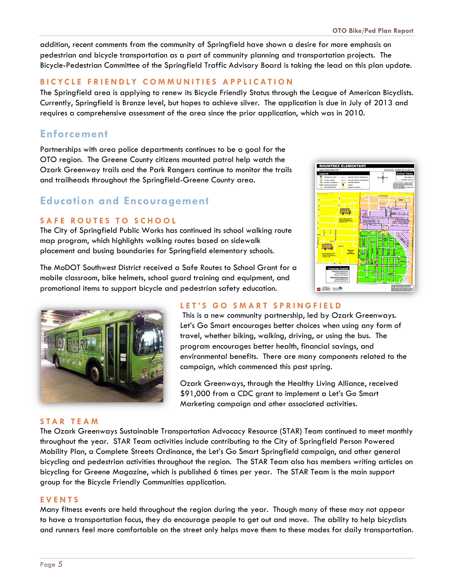addition, recent comments from the community of Springfield have shown a desire for more emphasis on pedestrian and bicycle transportation as a part of community planning and transportation projects. The Bicycle-Pedestrian Committee of the Springfield Traffic Advisory Board is taking the lead on this plan update.

#### **BICYCLE FRIENDLY COMMUNITIES APPLICATION**

The Springfield area is applying to renew its Bicycle Friendly Status through the League of American Bicyclists. Currently, Springfield is Bronze level, but hopes to achieve silver. The application is due in July of 2013 and requires a comprehensive assessment of the area since the prior application, which was in 2010.

#### **Enforcement**

Partnerships with area police departments continues to be a goal for the OTO region. The Greene County citizens mounted patrol help watch the Ozark Greenway trails and the Park Rangers continue to monitor the trails and trailheads throughout the Springfield-Greene County area.

#### **Education and Encouragement**

#### **SAFE ROUTES TO SCHOOL**

The City of Springfield Public Works has continued its school walking route map program, which highlights walking routes based on sidewalk placement and busing boundaries for Springfield elementary schools.

The MoDOT Southwest District received a Safe Routes to School Grant for a mobile classroom, bike helmets, school guard training and equipment, and promotional items to support bicycle and pedestrian safety education.





#### **L E T ' S G O S M A R T S P R I N G F I E L D**

This is a new community partnership, led by Ozark Greenways. Let's Go Smart encourages better choices when using any form of travel, whether biking, walking, driving, or using the bus. The program encourages better health, financial savings, and environmental benefits. There are many components related to the campaign, which commenced this past spring.

Ozark Greenways, through the Healthy Living Alliance, received \$91,000 from a CDC grant to implement a Let's Go Smart Marketing campaign and other associated activities.

#### **S T A R T E A M**

The Ozark Greenways Sustainable Transportation Advocacy Resource (STAR) Team continued to meet monthly throughout the year. STAR Team activities include contributing to the City of Springfield Person Powered Mobility Plan, a Complete Streets Ordinance, the Let's Go Smart Springfield campaign, and other general bicycling and pedestrian activities throughout the region. The STAR Team also has members writing articles on bicycling for Greene Magazine, which is published 6 times per year. The STAR Team is the main support group for the Bicycle Friendly Communities application.

#### **E V E N T S**

Many fitness events are held throughout the region during the year. Though many of these may not appear to have a transportation focus, they do encourage people to get out and move. The ability to help bicyclists and runners feel more comfortable on the street only helps move them to these modes for daily transportation.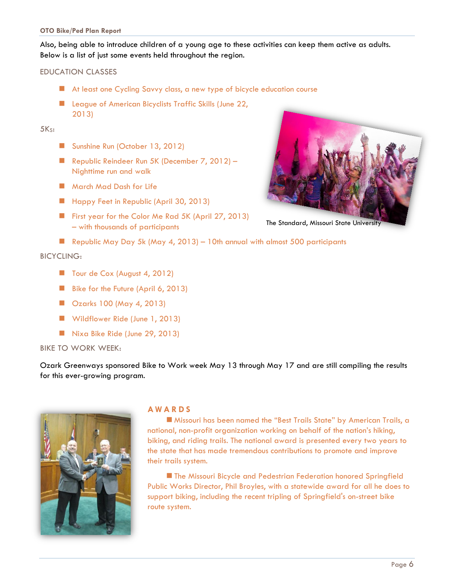Also, being able to introduce children of a young age to these activities can keep them active as adults. Below is a list of just some events held throughout the region.

#### EDUCATION CLASSES

- At least one Cycling Savvy class, a new type of bicycle education course
- League of American Bicyclists Traffic Skills (June 22, 2013)

#### $5K<sub>S</sub>$ :

- Sunshine Run (October 13, 2012)
- Republic Reindeer Run 5K (December 7, 2012) Nighttime run and walk
- **March Mad Dash for Life**
- Happy Feet in Republic (April 30, 2013)
- First year for the Color Me Rad 5K (April 27, 2013) – with thousands of participants
- Republic May Day 5k (May 4, 2013) 10th annual with almost 500 participants

#### BICYCLING:

- Tour de Cox (August 4, 2012)
- Bike for the Future (April 6, 2013)
- Ozarks 100 (May 4, 2013)
- Wildflower Ride (June 1, 2013)
- Nixa Bike Ride (June 29, 2013)

#### BIKE TO WORK WEEK:

Ozark Greenways sponsored Bike to Work week May 13 through May 17 and are still compiling the results for this ever-growing program.



#### **A W A R D S**

 Missouri has been named the "Best Trails State" by American Trails, a national, non-profit organization working on behalf of the nation's hiking, biking, and riding trails. The national award is presented every two years to the state that has made tremendous contributions to promote and improve their trails system.

**The Missouri Bicycle and Pedestrian Federation honored Springfield** Public Works Director, Phil Broyles, with a statewide award for all he does to support biking, including the recent tripling of Springfield's on-street bike route system.



The Standard, Missouri State University